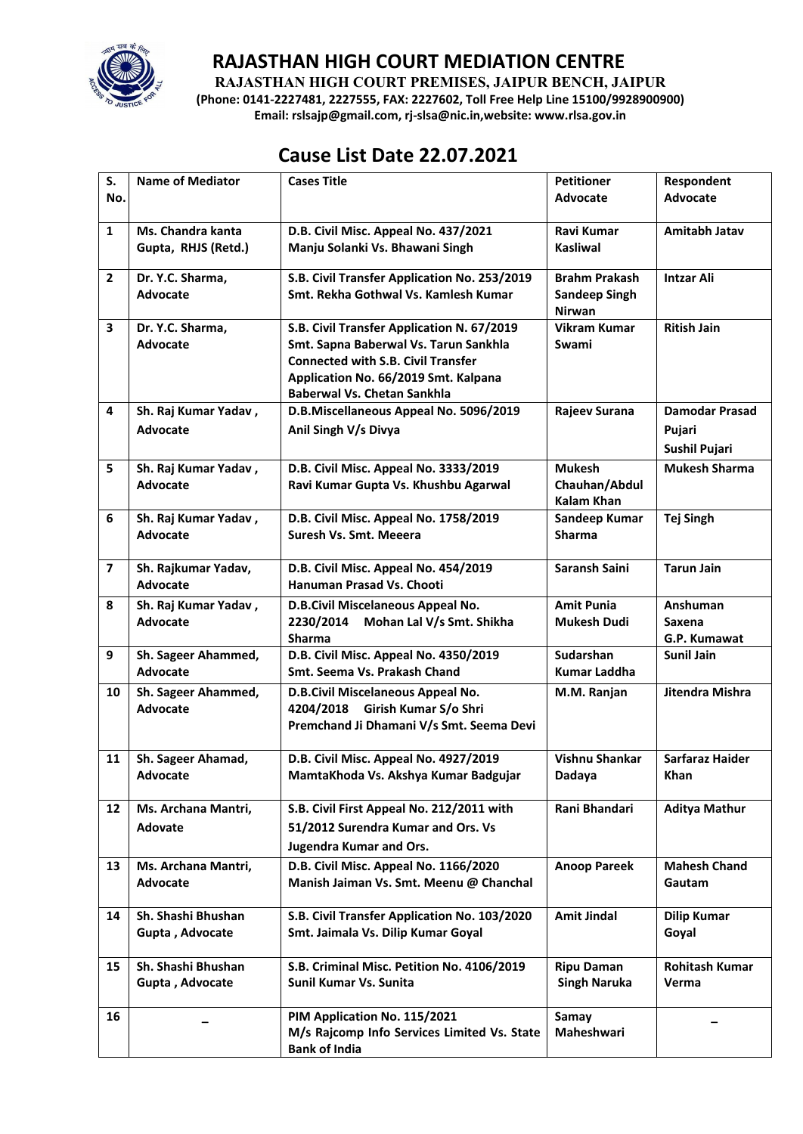

**RAJASTHAN HIGH COURT PREMISES, JAIPUR BENCH, JAIPUR**

**(Phone: 0141-2227481, 2227555, FAX: 2227602, Toll Free Help Line 15100/9928900900) Email: rslsajp@gmail.com, rj-slsa@nic.in,website: www.rlsa.gov.in**

## **Cause List Date 22.07.2021**

| S.                      | <b>Name of Mediator</b>                  | <b>Cases Title</b>                                                                                                                                                                                             | <b>Petitioner</b>                                             | Respondent                                       |
|-------------------------|------------------------------------------|----------------------------------------------------------------------------------------------------------------------------------------------------------------------------------------------------------------|---------------------------------------------------------------|--------------------------------------------------|
| No.                     |                                          |                                                                                                                                                                                                                | <b>Advocate</b>                                               | <b>Advocate</b>                                  |
| $\mathbf{1}$            | Ms. Chandra kanta<br>Gupta, RHJS (Retd.) | D.B. Civil Misc. Appeal No. 437/2021<br>Manju Solanki Vs. Bhawani Singh                                                                                                                                        | Ravi Kumar<br><b>Kasliwal</b>                                 | Amitabh Jatav                                    |
| $\mathbf{2}$            | Dr. Y.C. Sharma,<br><b>Advocate</b>      | S.B. Civil Transfer Application No. 253/2019<br>Smt. Rekha Gothwal Vs. Kamlesh Kumar                                                                                                                           | <b>Brahm Prakash</b><br><b>Sandeep Singh</b><br><b>Nirwan</b> | <b>Intzar Ali</b>                                |
| 3                       | Dr. Y.C. Sharma,<br><b>Advocate</b>      | S.B. Civil Transfer Application N. 67/2019<br>Smt. Sapna Baberwal Vs. Tarun Sankhla<br><b>Connected with S.B. Civil Transfer</b><br>Application No. 66/2019 Smt. Kalpana<br><b>Baberwal Vs. Chetan Sankhla</b> | <b>Vikram Kumar</b><br>Swami                                  | <b>Ritish Jain</b>                               |
| 4                       | Sh. Raj Kumar Yadav,<br><b>Advocate</b>  | D.B.Miscellaneous Appeal No. 5096/2019<br>Anil Singh V/s Divya                                                                                                                                                 | Rajeev Surana                                                 | <b>Damodar Prasad</b><br>Pujari<br>Sushil Pujari |
| 5                       | Sh. Raj Kumar Yadav,<br><b>Advocate</b>  | D.B. Civil Misc. Appeal No. 3333/2019<br>Ravi Kumar Gupta Vs. Khushbu Agarwal                                                                                                                                  | <b>Mukesh</b><br>Chauhan/Abdul<br><b>Kalam Khan</b>           | <b>Mukesh Sharma</b>                             |
| 6                       | Sh. Raj Kumar Yadav,<br><b>Advocate</b>  | D.B. Civil Misc. Appeal No. 1758/2019<br>Suresh Vs. Smt. Meeera                                                                                                                                                | Sandeep Kumar<br><b>Sharma</b>                                | <b>Tej Singh</b>                                 |
| $\overline{\mathbf{z}}$ | Sh. Rajkumar Yadav,<br><b>Advocate</b>   | D.B. Civil Misc. Appeal No. 454/2019<br>Hanuman Prasad Vs. Chooti                                                                                                                                              | <b>Saransh Saini</b>                                          | <b>Tarun Jain</b>                                |
| 8                       | Sh. Raj Kumar Yadav,<br><b>Advocate</b>  | D.B.Civil Miscelaneous Appeal No.<br>2230/2014 Mohan Lal V/s Smt. Shikha<br>Sharma                                                                                                                             | <b>Amit Punia</b><br><b>Mukesh Dudi</b>                       | Anshuman<br>Saxena<br>G.P. Kumawat               |
| 9                       | Sh. Sageer Ahammed,<br><b>Advocate</b>   | D.B. Civil Misc. Appeal No. 4350/2019<br>Smt. Seema Vs. Prakash Chand                                                                                                                                          | Sudarshan<br><b>Kumar Laddha</b>                              | <b>Sunil Jain</b>                                |
| 10                      | Sh. Sageer Ahammed,<br><b>Advocate</b>   | D.B.Civil Miscelaneous Appeal No.<br>4204/2018<br>Girish Kumar S/o Shri<br>Premchand Ji Dhamani V/s Smt. Seema Devi                                                                                            | M.M. Ranjan                                                   | Jitendra Mishra                                  |
| 11                      | Sh. Sageer Ahamad,<br><b>Advocate</b>    | D.B. Civil Misc. Appeal No. 4927/2019<br>MamtaKhoda Vs. Akshya Kumar Badgujar                                                                                                                                  | <b>Vishnu Shankar</b><br>Dadaya                               | <b>Sarfaraz Haider</b><br>Khan                   |
| 12                      | Ms. Archana Mantri,<br><b>Adovate</b>    | S.B. Civil First Appeal No. 212/2011 with<br>51/2012 Surendra Kumar and Ors. Vs<br><b>Jugendra Kumar and Ors.</b>                                                                                              | Rani Bhandari                                                 | <b>Aditya Mathur</b>                             |
| 13                      | Ms. Archana Mantri,<br>Advocate          | D.B. Civil Misc. Appeal No. 1166/2020<br>Manish Jaiman Vs. Smt. Meenu @ Chanchal                                                                                                                               | <b>Anoop Pareek</b>                                           | <b>Mahesh Chand</b><br><b>Gautam</b>             |
| 14                      | Sh. Shashi Bhushan<br>Gupta, Advocate    | S.B. Civil Transfer Application No. 103/2020<br>Smt. Jaimala Vs. Dilip Kumar Goyal                                                                                                                             | <b>Amit Jindal</b>                                            | <b>Dilip Kumar</b><br>Goyal                      |
| 15                      | Sh. Shashi Bhushan<br>Gupta, Advocate    | S.B. Criminal Misc. Petition No. 4106/2019<br>Sunil Kumar Vs. Sunita                                                                                                                                           | <b>Ripu Daman</b><br><b>Singh Naruka</b>                      | <b>Rohitash Kumar</b><br>Verma                   |
| 16                      |                                          | PIM Application No. 115/2021<br>M/s Rajcomp Info Services Limited Vs. State<br><b>Bank of India</b>                                                                                                            | Samay<br>Maheshwari                                           |                                                  |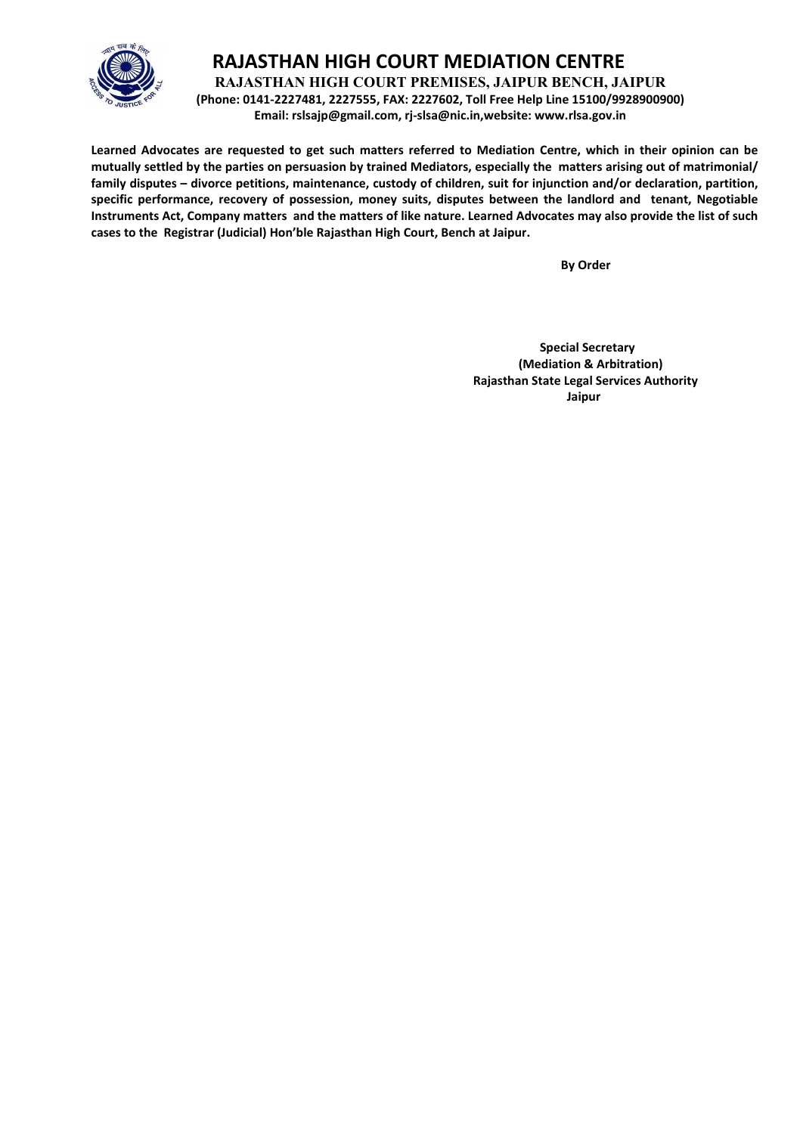

**RAJASTHAN HIGH COURT PREMISES, JAIPUR BENCH, JAIPUR**

**(Phone: 0141-2227481, 2227555, FAX: 2227602, Toll Free Help Line 15100/9928900900) Email: rslsajp@gmail.com, rj-slsa@nic.in,website: www.rlsa.gov.in**

**Learned Advocates are requested to get such matters referred to Mediation Centre, which in their opinion can be mutually settled by the parties on persuasion by trained Mediators, especially the matters arising out of matrimonial/ family disputes – divorce petitions, maintenance, custody of children, suit for injunction and/or declaration, partition, specific performance, recovery of possession, money suits, disputes between the landlord and tenant, Negotiable Instruments Act, Company matters and the matters of like nature. Learned Advocates may also provide the list of such cases to the Registrar (Judicial) Hon'ble Rajasthan High Court, Bench at Jaipur.**

 **By Order**

 **Special Secretary (Mediation & Arbitration) Rajasthan State Legal Services Authority** ا **Jaipur** کار است که از این است که از این است که از این است که از این است که از این است که از این است که از ا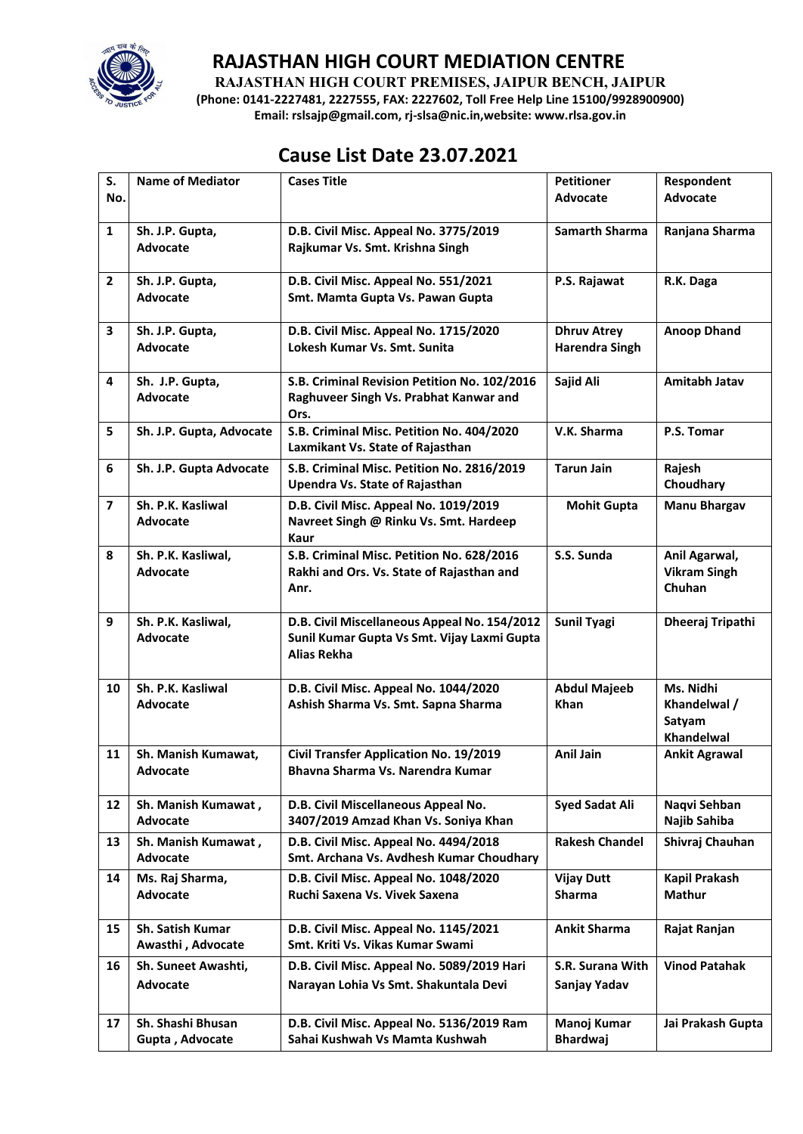

**RAJASTHAN HIGH COURT PREMISES, JAIPUR BENCH, JAIPUR**

**(Phone: 0141-2227481, 2227555, FAX: 2227602, Toll Free Help Line 15100/9928900900) Email: rslsajp@gmail.com, rj-slsa@nic.in,website: www.rlsa.gov.in**

# **Cause List Date 23.07.2021**

| S.                      | <b>Name of Mediator</b>                | <b>Cases Title</b>                                                                          | <b>Petitioner</b>                  | Respondent                           |
|-------------------------|----------------------------------------|---------------------------------------------------------------------------------------------|------------------------------------|--------------------------------------|
| No.                     |                                        |                                                                                             | <b>Advocate</b>                    | <b>Advocate</b>                      |
| $\mathbf{1}$            | Sh. J.P. Gupta,                        | D.B. Civil Misc. Appeal No. 3775/2019                                                       | <b>Samarth Sharma</b>              | Ranjana Sharma                       |
|                         | <b>Advocate</b>                        | Rajkumar Vs. Smt. Krishna Singh                                                             |                                    |                                      |
| $\mathbf{2}$            | Sh. J.P. Gupta,                        | D.B. Civil Misc. Appeal No. 551/2021                                                        | P.S. Rajawat                       | R.K. Daga                            |
|                         | Advocate                               | Smt. Mamta Gupta Vs. Pawan Gupta                                                            |                                    |                                      |
| 3                       | Sh. J.P. Gupta,                        | D.B. Civil Misc. Appeal No. 1715/2020                                                       | <b>Dhruv Atrey</b>                 | <b>Anoop Dhand</b>                   |
|                         | Advocate                               | Lokesh Kumar Vs. Smt. Sunita                                                                | <b>Harendra Singh</b>              |                                      |
| 4                       | Sh. J.P. Gupta,                        | S.B. Criminal Revision Petition No. 102/2016                                                | Sajid Ali                          | Amitabh Jatav                        |
|                         | <b>Advocate</b>                        | Raghuveer Singh Vs. Prabhat Kanwar and<br>Ors.                                              |                                    |                                      |
| 5                       | Sh. J.P. Gupta, Advocate               | S.B. Criminal Misc. Petition No. 404/2020                                                   | V.K. Sharma                        | P.S. Tomar                           |
|                         |                                        | Laxmikant Vs. State of Rajasthan                                                            |                                    |                                      |
| 6                       | Sh. J.P. Gupta Advocate                | S.B. Criminal Misc. Petition No. 2816/2019<br><b>Upendra Vs. State of Rajasthan</b>         | <b>Tarun Jain</b>                  | Rajesh<br>Choudhary                  |
| $\overline{\mathbf{z}}$ | Sh. P.K. Kasliwal                      | D.B. Civil Misc. Appeal No. 1019/2019                                                       | <b>Mohit Gupta</b>                 | <b>Manu Bhargav</b>                  |
|                         | Advocate                               | Navreet Singh @ Rinku Vs. Smt. Hardeep                                                      |                                    |                                      |
| 8                       | Sh. P.K. Kasliwal,                     | Kaur                                                                                        | S.S. Sunda                         |                                      |
|                         | <b>Advocate</b>                        | S.B. Criminal Misc. Petition No. 628/2016<br>Rakhi and Ors. Vs. State of Rajasthan and      |                                    | Anil Agarwal,<br><b>Vikram Singh</b> |
|                         |                                        | Anr.                                                                                        |                                    | Chuhan                               |
|                         |                                        |                                                                                             |                                    |                                      |
| 9                       | Sh. P.K. Kasliwal,<br>Advocate         | D.B. Civil Miscellaneous Appeal No. 154/2012<br>Sunil Kumar Gupta Vs Smt. Vijay Laxmi Gupta | <b>Sunil Tyagi</b>                 | Dheeraj Tripathi                     |
|                         |                                        | <b>Alias Rekha</b>                                                                          |                                    |                                      |
|                         |                                        |                                                                                             |                                    |                                      |
| 10                      | Sh. P.K. Kasliwal<br>Advocate          | D.B. Civil Misc. Appeal No. 1044/2020<br>Ashish Sharma Vs. Smt. Sapna Sharma                | <b>Abdul Majeeb</b><br><b>Khan</b> | Ms. Nidhi<br>Khandelwal /            |
|                         |                                        |                                                                                             |                                    | Satyam                               |
|                         |                                        |                                                                                             |                                    | <b>Khandelwal</b>                    |
| 11                      | Sh. Manish Kumawat,<br><b>Advocate</b> | <b>Civil Transfer Application No. 19/2019</b><br>Bhavna Sharma Vs. Narendra Kumar           | <b>Anil Jain</b>                   | <b>Ankit Agrawal</b>                 |
|                         |                                        |                                                                                             |                                    |                                      |
| 12                      | Sh. Manish Kumawat,                    | D.B. Civil Miscellaneous Appeal No.                                                         | Syed Sadat Ali                     | Naqvi Sehban                         |
|                         | Advocate                               | 3407/2019 Amzad Khan Vs. Soniya Khan                                                        |                                    | Najib Sahiba                         |
| 13                      | Sh. Manish Kumawat,<br>Advocate        | D.B. Civil Misc. Appeal No. 4494/2018<br>Smt. Archana Vs. Avdhesh Kumar Choudhary           | <b>Rakesh Chandel</b>              | Shivraj Chauhan                      |
| 14                      | Ms. Raj Sharma,                        | D.B. Civil Misc. Appeal No. 1048/2020                                                       | <b>Vijay Dutt</b>                  | Kapil Prakash                        |
|                         | Advocate                               | Ruchi Saxena Vs. Vivek Saxena                                                               | <b>Sharma</b>                      | Mathur                               |
| 15                      | Sh. Satish Kumar                       | D.B. Civil Misc. Appeal No. 1145/2021                                                       | <b>Ankit Sharma</b>                | Rajat Ranjan                         |
|                         | Awasthi, Advocate                      | Smt. Kriti Vs. Vikas Kumar Swami                                                            |                                    |                                      |
| 16                      | Sh. Suneet Awashti,                    | D.B. Civil Misc. Appeal No. 5089/2019 Hari                                                  | S.R. Surana With                   | <b>Vinod Patahak</b>                 |
|                         | Advocate                               | Narayan Lohia Vs Smt. Shakuntala Devi                                                       | Sanjay Yadav                       |                                      |
|                         |                                        |                                                                                             |                                    |                                      |
| 17                      | Sh. Shashi Bhusan<br>Gupta, Advocate   | D.B. Civil Misc. Appeal No. 5136/2019 Ram<br>Sahai Kushwah Vs Mamta Kushwah                 | Manoj Kumar<br><b>Bhardwaj</b>     | Jai Prakash Gupta                    |
|                         |                                        |                                                                                             |                                    |                                      |